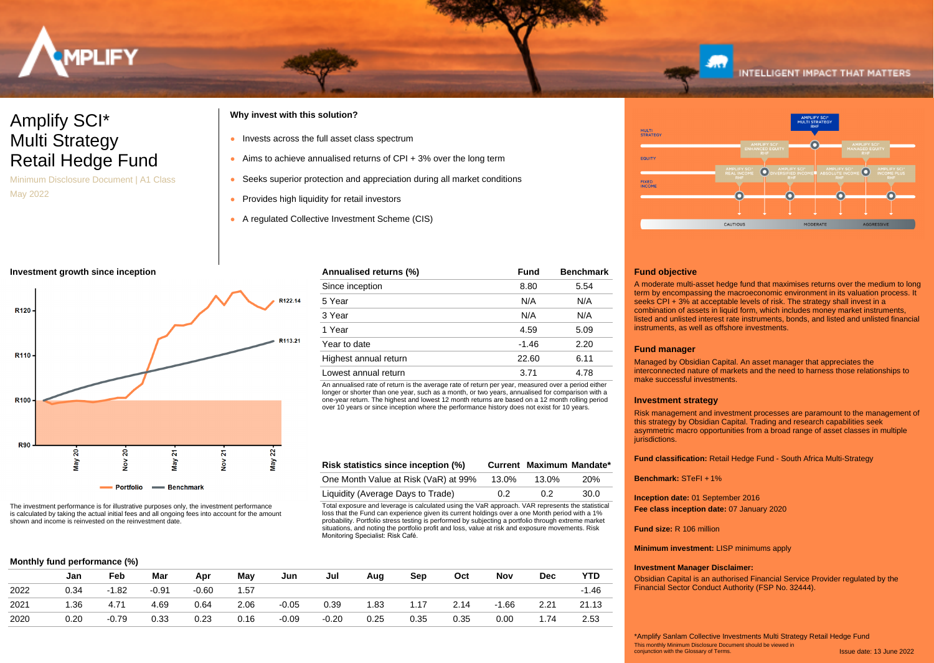

# **INTELLIGENT IMPACT THAT MATTERS**

# Amplify SCI\* Multi Strategy Retail Hedge Fund

Minimum Disclosure Document | A1 Class May 2022

### **Why invest with this solution?**

- Invests across the full asset class spectrum
- Aims to achieve annualised returns of  $CPI + 3%$  over the long term
- Seeks superior protection and appreciation during all market conditions
- Provides high liquidity for retail investors
- A regulated Collective Investment Scheme (CIS)

### **Investment growth since inception**



The investment performance is for illustrative purposes only, the investment performance is calculated by taking the actual initial fees and all ongoing fees into account for the amount shown and income is reinvested on the reinvestment date.

|  | Monthly fund performance (%) |  |
|--|------------------------------|--|
|--|------------------------------|--|

| Annualised returns (%) | <b>Fund</b> | <b>Benchmark</b> |  |
|------------------------|-------------|------------------|--|
| Since inception        | 8.80        | 5.54             |  |
| 5 Year                 | N/A         | N/A              |  |
| 3 Year                 | N/A         | N/A              |  |
| 1 Year                 | 4.59        | 5.09             |  |
| Year to date           | $-1.46$     | 2.20             |  |
| Highest annual return  | 22.60       | 6.11             |  |
| Lowest annual return   | 3.71        | 4.78             |  |

An annualised rate of return is the average rate of return per year, measured over a period either longer or shorter than one year, such as a month, or two years, annualised for comparison with a one-year return. The highest and lowest 12 month returns are based on a 12 month rolling period over 10 years or since inception where the performance history does not exist for 10 years.

| Risk statistics since inception (%)  |       |       | Current Maximum Mandate* |
|--------------------------------------|-------|-------|--------------------------|
| One Month Value at Risk (VaR) at 99% | 13.0% | 13.0% | 20%                      |
| Liquidity (Average Days to Trade)    | 0.2   | 0 2   | 30.0                     |

Total exposure and leverage is calculated using the VaR approach. VAR represents the statistical loss that the Fund can experience given its current holdings over a one Month period with a 1% probability. Portfolio stress testing is performed by subjecting a portfolio through extreme market situations, and noting the portfolio profit and loss, value at risk and exposure movements. Risk Monitoring Specialist: Risk Café.

|      | Jan  | Feb     | Mar     | Apr     | May  | Jun     | Jul     | Aug  | Sep  | Oct  | Nov   | <b>Dec</b> | YTD     |
|------|------|---------|---------|---------|------|---------|---------|------|------|------|-------|------------|---------|
| 2022 | 0.34 | $-1.82$ | $-0.91$ | $-0.60$ | 1.57 |         |         |      |      |      |       |            | $-1.46$ |
| 2021 | 1.36 | 4.71    | 4.69    | 0.64    | 2.06 | $-0.05$ | 0.39    | 1.83 | 1.17 | 2.14 | -1.66 | 2.21       | 21.13   |
| 2020 | 0.20 | $-0.79$ | 0.33    | 0.23    | 0.16 | $-0.09$ | $-0.20$ | 0.25 | 0.35 | 0.35 | 0.00  | 1.74       | 2.53    |



### **Fund objective**

A moderate multi-asset hedge fund that maximises returns over the medium to long term by encompassing the macroeconomic environment in its valuation process. It seeks CPI + 3% at acceptable levels of risk. The strategy shall invest in a combination of assets in liquid form, which includes money market instruments, listed and unlisted interest rate instruments, bonds, and listed and unlisted financial instruments, as well as offshore investments.

### **Fund manager**

Managed by Obsidian Capital. An asset manager that appreciates the interconnected nature of markets and the need to harness those relationships to make successful investments.

### **Investment strategy**

Risk management and investment processes are paramount to the management of this strategy by Obsidian Capital. Trading and research capabilities seek asymmetric macro opportunities from a broad range of asset classes in multiple jurisdictions.

**Fund classification:** Retail Hedge Fund - South Africa Multi-Strategy

**Benchmark:** STeFI + 1%

**Inception date:** 01 September 2016 **Fee class inception date:** 07 January 2020

**Fund size:** R 106 million

**Minimum investment:** LISP minimums apply

### **Investment Manager Disclaimer:**

Obsidian Capital is an authorised Financial Service Provider regulated by the Financial Sector Conduct Authority (FSP No. 32444).